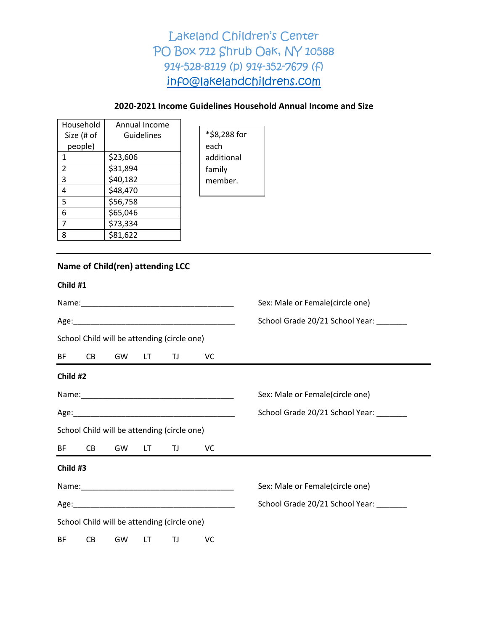### **2020-2021 Income Guidelines Household Annual Income and Size**

| Household  | Annual Income |  |
|------------|---------------|--|
| Size (# of | Guidelines    |  |
| people)    |               |  |
| 1          | \$23,606      |  |
| 2          | \$31,894      |  |
| 3          | \$40,182      |  |
| 4          | \$48,470      |  |
| 5          | \$56,758      |  |
| 6          | \$65,046      |  |
|            | \$73,334      |  |
| ጸ          | \$81,622      |  |

\*\$8,288 for each additional family member.

### **Name of Child(ren) attending LCC**

| Child #1 |  |
|----------|--|
|----------|--|

|          |           |                |     |                                             |    | Sex: Male or Female(circle one) |  |  |  |
|----------|-----------|----------------|-----|---------------------------------------------|----|---------------------------------|--|--|--|
|          |           |                |     |                                             |    | School Grade 20/21 School Year: |  |  |  |
|          |           |                |     | School Child will be attending (circle one) |    |                                 |  |  |  |
|          | BF CB     | GW             | LT. | <b>TJ</b>                                   | VC |                                 |  |  |  |
| Child #2 |           |                |     |                                             |    |                                 |  |  |  |
|          |           |                |     |                                             |    | Sex: Male or Female(circle one) |  |  |  |
|          |           |                |     |                                             |    | School Grade 20/21 School Year: |  |  |  |
|          |           |                |     | School Child will be attending (circle one) |    |                                 |  |  |  |
|          |           | BF CB GW LT TJ |     |                                             | VC |                                 |  |  |  |
| Child #3 |           |                |     |                                             |    |                                 |  |  |  |
|          |           |                |     |                                             |    | Sex: Male or Female(circle one) |  |  |  |
|          |           |                |     |                                             |    | School Grade 20/21 School Year: |  |  |  |
|          |           |                |     | School Child will be attending (circle one) |    |                                 |  |  |  |
| BF.      | <b>CB</b> | GW             | LT  | ΤJ                                          | VC |                                 |  |  |  |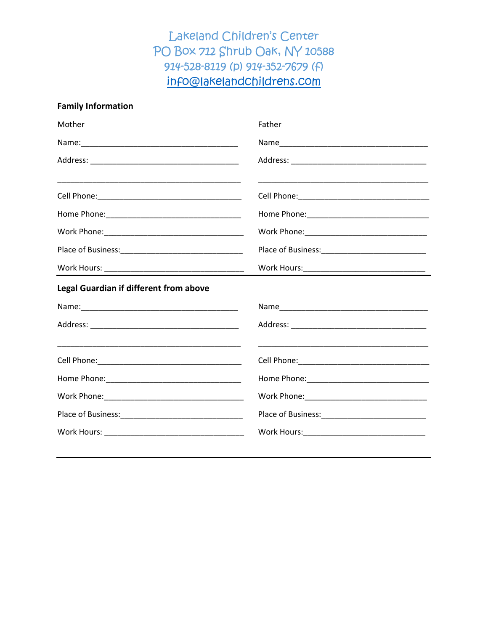### **Family Information**

| Mother                                 | Father                                        |
|----------------------------------------|-----------------------------------------------|
|                                        |                                               |
|                                        |                                               |
|                                        |                                               |
|                                        |                                               |
|                                        | Work Phone: _________________________________ |
|                                        |                                               |
|                                        |                                               |
| Legal Guardian if different from above |                                               |
|                                        |                                               |
|                                        |                                               |
|                                        |                                               |
|                                        |                                               |
|                                        |                                               |
|                                        |                                               |
|                                        |                                               |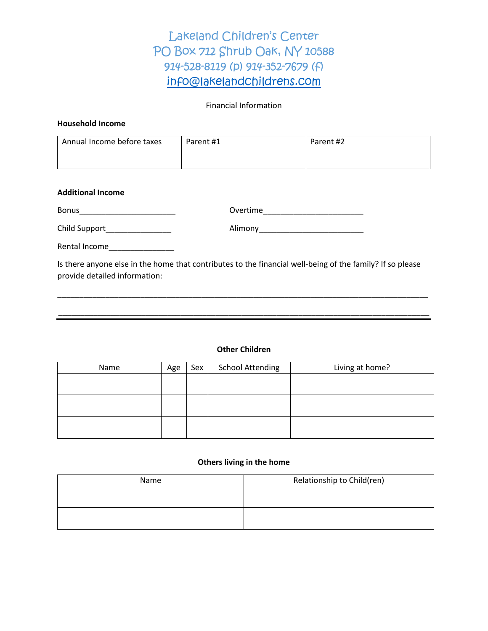### Financial Information

### **Household Income**

| Annual Income before taxes | Parent #1 | Parent #2 |
|----------------------------|-----------|-----------|
|                            |           |           |
|                            |           |           |

#### **Additional Income**

| <b>Bonus</b> |
|--------------|
|--------------|

Bonus\_\_\_\_\_\_\_\_\_\_\_\_\_\_\_\_\_\_\_\_\_\_ Overtime\_\_\_\_\_\_\_\_\_\_\_\_\_\_\_\_\_\_\_\_\_\_\_

Child Support\_\_\_\_\_\_\_\_\_\_\_\_\_\_\_ Alimony\_\_\_\_\_\_\_\_\_\_\_\_\_\_\_\_\_\_\_\_\_\_\_\_

Rental Income\_\_\_\_\_\_\_\_\_\_\_\_\_\_\_

Is there anyone else in the home that contributes to the financial well-being of the family? If so please provide detailed information:

\_\_\_\_\_\_\_\_\_\_\_\_\_\_\_\_\_\_\_\_\_\_\_\_\_\_\_\_\_\_\_\_\_\_\_\_\_\_\_\_\_\_\_\_\_\_\_\_\_\_\_\_\_\_\_\_\_\_\_\_\_\_\_\_\_\_\_\_\_\_\_\_\_\_\_\_\_\_\_\_\_\_\_\_\_

\_\_\_\_\_\_\_\_\_\_\_\_\_\_\_\_\_\_\_\_\_\_\_\_\_\_\_\_\_\_\_\_\_\_\_\_\_\_\_\_\_\_\_\_\_\_\_\_\_\_\_\_\_\_\_\_\_\_\_\_\_\_\_\_\_\_\_\_\_\_\_\_\_\_\_\_\_\_\_\_\_\_\_\_\_

#### **Other Children**

| Name | Age | Sex | <b>School Attending</b> | Living at home? |
|------|-----|-----|-------------------------|-----------------|
|      |     |     |                         |                 |
|      |     |     |                         |                 |
|      |     |     |                         |                 |
|      |     |     |                         |                 |
|      |     |     |                         |                 |
|      |     |     |                         |                 |

#### **Others living in the home**

| Name | Relationship to Child(ren) |  |  |
|------|----------------------------|--|--|
|      |                            |  |  |
|      |                            |  |  |
|      |                            |  |  |
|      |                            |  |  |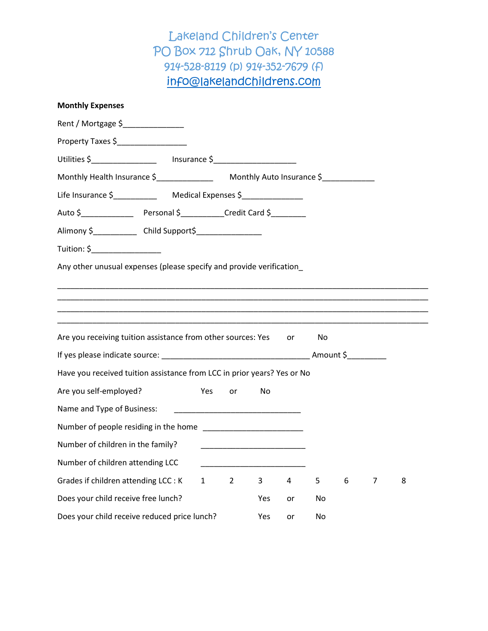| <b>Monthly Expenses</b>                                                 |              |                |                                                                                                                      |    |    |   |   |   |
|-------------------------------------------------------------------------|--------------|----------------|----------------------------------------------------------------------------------------------------------------------|----|----|---|---|---|
| Rent / Mortgage \$                                                      |              |                |                                                                                                                      |    |    |   |   |   |
| Property Taxes \$__________________                                     |              |                |                                                                                                                      |    |    |   |   |   |
|                                                                         |              |                |                                                                                                                      |    |    |   |   |   |
|                                                                         |              |                |                                                                                                                      |    |    |   |   |   |
|                                                                         |              |                |                                                                                                                      |    |    |   |   |   |
|                                                                         |              |                |                                                                                                                      |    |    |   |   |   |
| Alimony \$________________ Child Support\$__________________            |              |                |                                                                                                                      |    |    |   |   |   |
| Tuition: \$____________________                                         |              |                |                                                                                                                      |    |    |   |   |   |
| Any other unusual expenses (please specify and provide verification     |              |                |                                                                                                                      |    |    |   |   |   |
| Are you receiving tuition assistance from other sources: Yes            |              |                |                                                                                                                      | or | No |   |   |   |
|                                                                         |              |                |                                                                                                                      |    |    |   |   |   |
| Have you received tuition assistance from LCC in prior years? Yes or No |              |                |                                                                                                                      |    |    |   |   |   |
| Are you self-employed?                                                  | Yes          | or             | No                                                                                                                   |    |    |   |   |   |
| Name and Type of Business:                                              |              |                |                                                                                                                      |    |    |   |   |   |
|                                                                         |              |                |                                                                                                                      |    |    |   |   |   |
| Number of children in the family?                                       |              |                | <u> 1989 - Johann John Stein, markin fan it ferskearre fan it ferskearre fan it ferskearre fan it ferskearre fan</u> |    |    |   |   |   |
| Number of children attending LCC                                        |              |                |                                                                                                                      |    |    |   |   |   |
| Grades if children attending LCC : K                                    | $\mathbf{1}$ | $\overline{2}$ | 3                                                                                                                    | 4  | 5  | 6 | 7 | 8 |
| Does your child receive free lunch?                                     |              |                | Yes                                                                                                                  | or | No |   |   |   |
| Does your child receive reduced price lunch?                            |              |                | Yes                                                                                                                  | or | No |   |   |   |